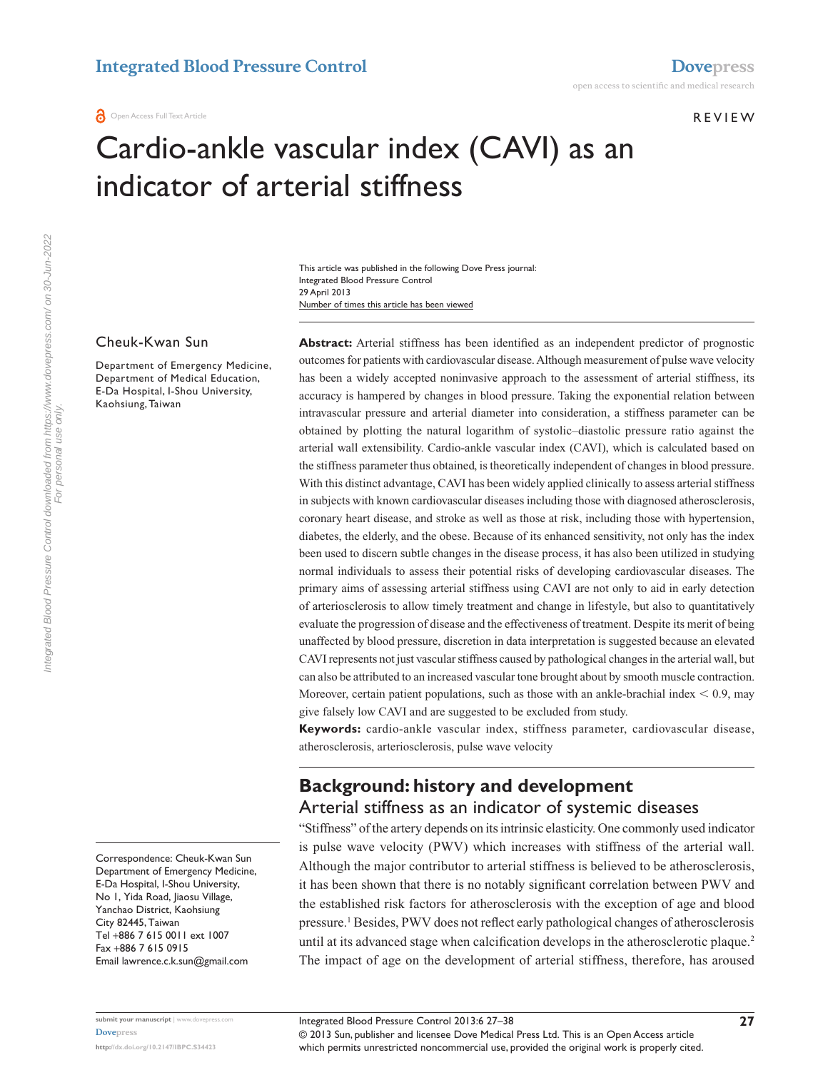**a** Open Access Full Text Article

R evie w

# Cardio-ankle vascular index (CAVI) as an indicator of arterial stiffness

Number of times this article has been viewed This article was published in the following Dove Press journal: Integrated Blood Pressure Control 29 April 2013

#### Cheuk-Kwan Sun

Department of Emergency Medicine, Department of Medical Education, E-Da Hospital, I-Shou University, Kaohsiung, Taiwan

Correspondence: Cheuk-Kwan Sun Department of Emergency Medicine, E-Da Hospital, I-Shou University, No 1, Yida Road, Jiaosu Village, Yanchao District, Kaohsiung City 82445, Taiwan Tel +886 7 615 0011 ext 1007 Fax +886 7 615 0915 Email [lawrence.c.k.sun@gmail.com](mailto:lawrence.c.k.sun@gmail.com)

**Abstract:** Arterial stiffness has been identified as an independent predictor of prognostic outcomes for patients with cardiovascular disease. Although measurement of pulse wave velocity has been a widely accepted noninvasive approach to the assessment of arterial stiffness, its accuracy is hampered by changes in blood pressure. Taking the exponential relation between intravascular pressure and arterial diameter into consideration, a stiffness parameter can be obtained by plotting the natural logarithm of systolic–diastolic pressure ratio against the arterial wall extensibility. Cardio-ankle vascular index (CAVI), which is calculated based on the stiffness parameter thus obtained, is theoretically independent of changes in blood pressure. With this distinct advantage, CAVI has been widely applied clinically to assess arterial stiffness in subjects with known cardiovascular diseases including those with diagnosed atherosclerosis, coronary heart disease, and stroke as well as those at risk, including those with hypertension, diabetes, the elderly, and the obese. Because of its enhanced sensitivity, not only has the index been used to discern subtle changes in the disease process, it has also been utilized in studying normal individuals to assess their potential risks of developing cardiovascular diseases. The primary aims of assessing arterial stiffness using CAVI are not only to aid in early detection of arteriosclerosis to allow timely treatment and change in lifestyle, but also to quantitatively evaluate the progression of disease and the effectiveness of treatment. Despite its merit of being unaffected by blood pressure, discretion in data interpretation is suggested because an elevated CAVI represents not just vascular stiffness caused by pathological changes in the arterial wall, but can also be attributed to an increased vascular tone brought about by smooth muscle contraction. Moreover, certain patient populations, such as those with an ankle-brachial index  $< 0.9$ , may give falsely low CAVI and are suggested to be excluded from study.

**Keywords:** cardio-ankle vascular index, stiffness parameter, cardiovascular disease, atherosclerosis, arteriosclerosis, pulse wave velocity

### **Background: history and development** Arterial stiffness as an indicator of systemic diseases

"Stiffness" of the artery depends on its intrinsic elasticity. One commonly used indicator is pulse wave velocity (PWV) which increases with stiffness of the arterial wall. Although the major contributor to arterial stiffness is believed to be atherosclerosis, it has been shown that there is no notably significant correlation between PWV and the established risk factors for atherosclerosis with the exception of age and blood pressure.<sup>1</sup> Besides, PWV does not reflect early pathological changes of atherosclerosis until at its advanced stage when calcification develops in the atherosclerotic plaque.<sup>2</sup> The impact of age on the development of arterial stiffness, therefore, has aroused

© 2013 Sun, publisher and licensee Dove Medical Press Ltd. This is an Open Access article which permits unrestricted noncommercial use, provided the original work is properly cited. Integrated Blood Pressure Control 2013:6 27–38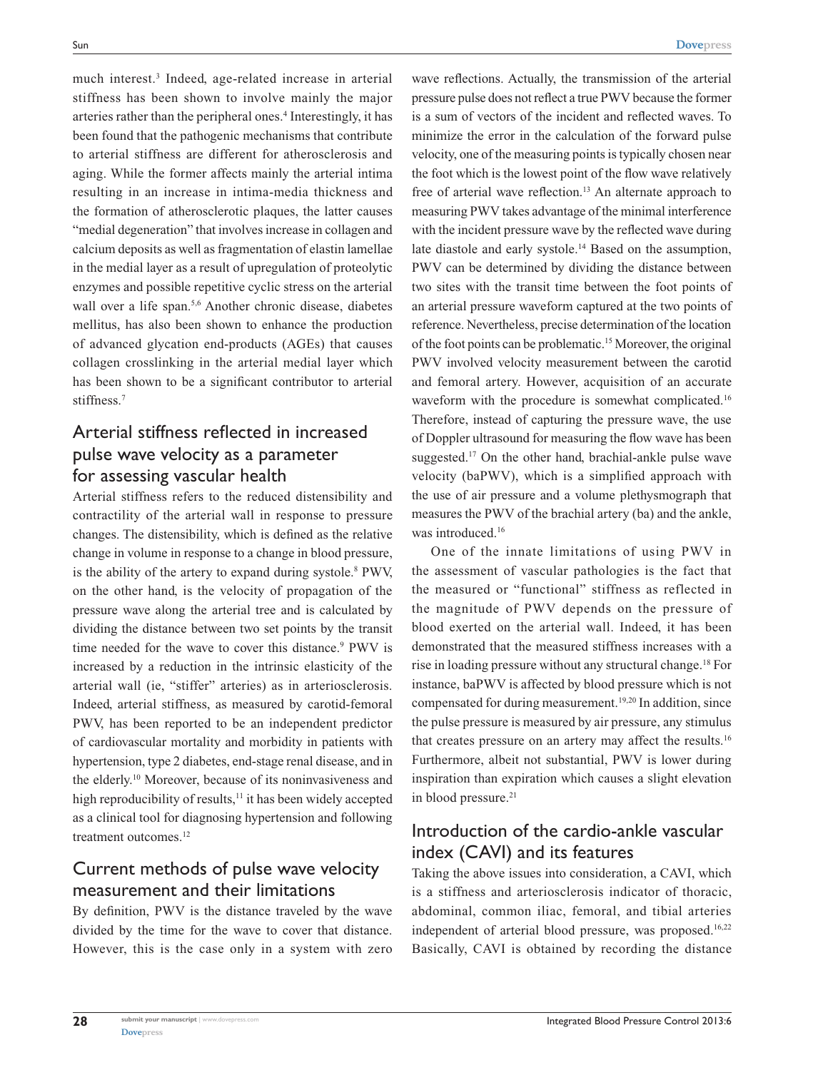much interest.3 Indeed, age-related increase in arterial stiffness has been shown to involve mainly the major arteries rather than the peripheral ones.<sup>4</sup> Interestingly, it has been found that the pathogenic mechanisms that contribute to arterial stiffness are different for atherosclerosis and aging. While the former affects mainly the arterial intima resulting in an increase in intima-media thickness and the formation of atherosclerotic plaques, the latter causes "medial degeneration" that involves increase in collagen and calcium deposits as well as fragmentation of elastin lamellae in the medial layer as a result of upregulation of proteolytic enzymes and possible repetitive cyclic stress on the arterial wall over a life span.<sup>5,6</sup> Another chronic disease, diabetes mellitus, has also been shown to enhance the production of advanced glycation end-products (AGEs) that causes collagen crosslinking in the arterial medial layer which has been shown to be a significant contributor to arterial stiffness.7

# Arterial stiffness reflected in increased pulse wave velocity as a parameter for assessing vascular health

Arterial stiffness refers to the reduced distensibility and contractility of the arterial wall in response to pressure changes. The distensibility, which is defined as the relative change in volume in response to a change in blood pressure, is the ability of the artery to expand during systole.<sup>8</sup> PWV, on the other hand, is the velocity of propagation of the pressure wave along the arterial tree and is calculated by dividing the distance between two set points by the transit time needed for the wave to cover this distance.<sup>9</sup> PWV is increased by a reduction in the intrinsic elasticity of the arterial wall (ie, "stiffer" arteries) as in arteriosclerosis. Indeed, arterial stiffness, as measured by carotid-femoral PWV, has been reported to be an independent predictor of cardiovascular mortality and morbidity in patients with hypertension, type 2 diabetes, end-stage renal disease, and in the elderly.<sup>10</sup> Moreover, because of its noninvasiveness and high reproducibility of results,<sup>11</sup> it has been widely accepted as a clinical tool for diagnosing hypertension and following treatment outcomes.<sup>12</sup>

# Current methods of pulse wave velocity measurement and their limitations

By definition, PWV is the distance traveled by the wave divided by the time for the wave to cover that distance. However, this is the case only in a system with zero

wave reflections. Actually, the transmission of the arterial pressure pulse does not reflect a true PWV because the former is a sum of vectors of the incident and reflected waves. To minimize the error in the calculation of the forward pulse velocity, one of the measuring points is typically chosen near the foot which is the lowest point of the flow wave relatively free of arterial wave reflection.<sup>13</sup> An alternate approach to measuring PWV takes advantage of the minimal interference with the incident pressure wave by the reflected wave during late diastole and early systole.<sup>14</sup> Based on the assumption, PWV can be determined by dividing the distance between two sites with the transit time between the foot points of an arterial pressure waveform captured at the two points of reference. Nevertheless, precise determination of the location of the foot points can be problematic.15 Moreover, the original PWV involved velocity measurement between the carotid and femoral artery. However, acquisition of an accurate waveform with the procedure is somewhat complicated.<sup>16</sup> Therefore, instead of capturing the pressure wave, the use of Doppler ultrasound for measuring the flow wave has been suggested.17 On the other hand, brachial-ankle pulse wave velocity (baPWV), which is a simplified approach with the use of air pressure and a volume plethysmograph that measures the PWV of the brachial artery (ba) and the ankle, was introduced.<sup>16</sup>

One of the innate limitations of using PWV in the assessment of vascular pathologies is the fact that the measured or "functional" stiffness as reflected in the magnitude of PWV depends on the pressure of blood exerted on the arterial wall. Indeed, it has been demonstrated that the measured stiffness increases with a rise in loading pressure without any structural change.18 For instance, baPWV is affected by blood pressure which is not compensated for during measurement.<sup>19,20</sup> In addition, since the pulse pressure is measured by air pressure, any stimulus that creates pressure on an artery may affect the results.16 Furthermore, albeit not substantial, PWV is lower during inspiration than expiration which causes a slight elevation in blood pressure.<sup>21</sup>

# Introduction of the cardio-ankle vascular index (CAVI) and its features

Taking the above issues into consideration, a CAVI, which is a stiffness and arteriosclerosis indicator of thoracic, abdominal, common iliac, femoral, and tibial arteries independent of arterial blood pressure, was proposed.<sup>16,22</sup> Basically, CAVI is obtained by recording the distance

**28**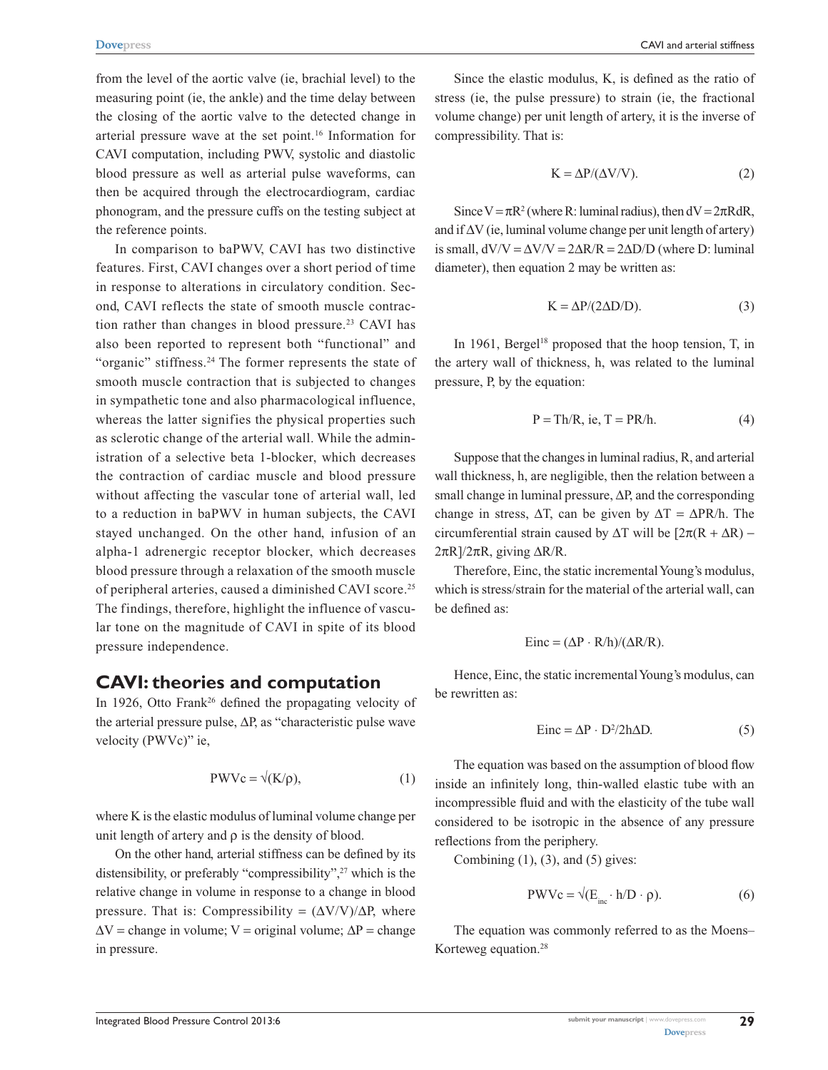from the level of the aortic valve (ie, brachial level) to the measuring point (ie, the ankle) and the time delay between the closing of the aortic valve to the detected change in arterial pressure wave at the set point.<sup>16</sup> Information for CAVI computation, including PWV, systolic and diastolic blood pressure as well as arterial pulse waveforms, can then be acquired through the electrocardiogram, cardiac phonogram, and the pressure cuffs on the testing subject at the reference points.

In comparison to baPWV, CAVI has two distinctive features. First, CAVI changes over a short period of time in response to alterations in circulatory condition. Second, CAVI reflects the state of smooth muscle contraction rather than changes in blood pressure.<sup>23</sup> CAVI has also been reported to represent both "functional" and "organic" stiffness.<sup>24</sup> The former represents the state of smooth muscle contraction that is subjected to changes in sympathetic tone and also pharmacological influence, whereas the latter signifies the physical properties such as sclerotic change of the arterial wall. While the administration of a selective beta 1-blocker, which decreases the contraction of cardiac muscle and blood pressure without affecting the vascular tone of arterial wall, led to a reduction in baPWV in human subjects, the CAVI stayed unchanged. On the other hand, infusion of an alpha-1 adrenergic receptor blocker, which decreases blood pressure through a relaxation of the smooth muscle of peripheral arteries, caused a diminished CAVI score.25 The findings, therefore, highlight the influence of vascular tone on the magnitude of CAVI in spite of its blood pressure independence.

### **CAVI: theories and computation**

In 1926, Otto Frank<sup>26</sup> defined the propagating velocity of the arterial pressure pulse, ∆P, as "characteristic pulse wave velocity (PWVc)" ie,

$$
PWVc = \sqrt{(K/\rho)}, \tag{1}
$$

where K is the elastic modulus of luminal volume change per unit length of artery and  $\rho$  is the density of blood.

On the other hand, arterial stiffness can be defined by its distensibility, or preferably "compressibility", $27$  which is the relative change in volume in response to a change in blood pressure. That is: Compressibility =  $(\Delta V/V)/\Delta P$ , where  $\Delta V$  = change in volume; V = original volume;  $\Delta P$  = change in pressure.

Since the elastic modulus, K, is defined as the ratio of stress (ie, the pulse pressure) to strain (ie, the fractional volume change) per unit length of artery, it is the inverse of compressibility. That is:

$$
K = \Delta P / (\Delta V / V). \tag{2}
$$

Since  $V = \pi R^2$  (where R: luminal radius), then  $dV = 2\pi R dR$ , and if ∆V (ie, luminal volume change per unit length of artery) is small,  $dV/V = \Delta V/V = 2\Delta R/R = 2\Delta D/D$  (where D: luminal diameter), then equation 2 may be written as:

$$
K = \Delta P/(2\Delta D/D). \tag{3}
$$

In 1961, Bergel<sup>18</sup> proposed that the hoop tension, T, in the artery wall of thickness, h, was related to the luminal pressure, P, by the equation:

$$
P = Th/R, ie, T = PR/h.
$$
 (4)

Suppose that the changes in luminal radius, R, and arterial wall thickness, h, are negligible, then the relation between a small change in luminal pressure, ΔP, and the corresponding change in stress,  $\Delta T$ , can be given by  $\Delta T = \Delta PR/h$ . The circumferential strain caused by  $\Delta T$  will be  $[2\pi(R + \Delta R) 2\pi R$ ]/2 $\pi R$ , giving  $\Delta R/R$ .

Therefore, Einc, the static incremental Young's modulus, which is stress/strain for the material of the arterial wall, can be defined as:

$$
Einc = (\Delta P \cdot R/h)/(\Delta R/R).
$$

Hence, Einc, the static incremental Young's modulus, can be rewritten as:

$$
Einc = \Delta P \cdot D^2 / 2h \Delta D. \tag{5}
$$

The equation was based on the assumption of blood flow inside an infinitely long, thin-walled elastic tube with an incompressible fluid and with the elasticity of the tube wall considered to be isotropic in the absence of any pressure reflections from the periphery.

Combining  $(1)$ ,  $(3)$ , and  $(5)$  gives:

$$
PWVc = \sqrt{(E_{inc} \cdot h/D \cdot \rho)}.
$$
 (6)

The equation was commonly referred to as the Moens– Korteweg equation.<sup>28</sup>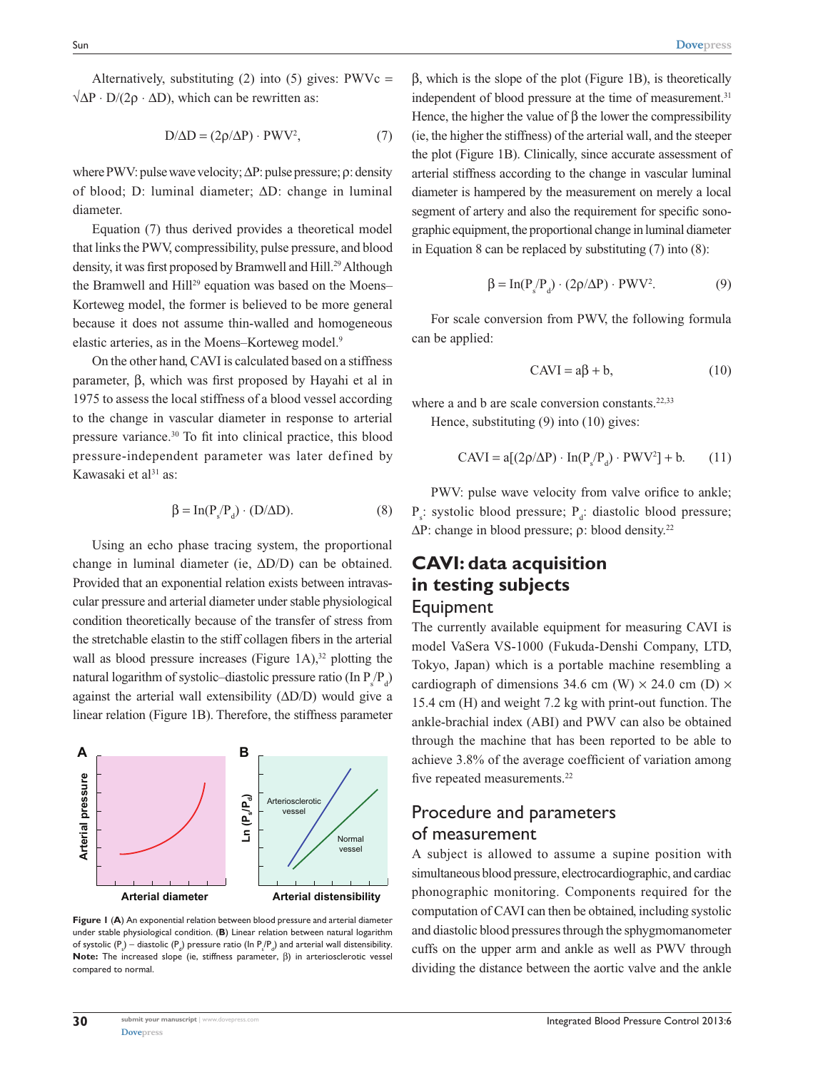Alternatively, substituting  $(2)$  into  $(5)$  gives: PWVc =  $\sqrt{\Delta P} \cdot D/(2\rho \cdot \Delta D)$ , which can be rewritten as:

$$
D/\Delta D = (2\rho/\Delta P) \cdot PWV^2, \tag{7}
$$

where PWV: pulse wave velocity; ∆P: pulse pressure; ρ: density of blood; D: luminal diameter; ∆D: change in luminal diameter.

Equation (7) thus derived provides a theoretical model that links the PWV, compressibility, pulse pressure, and blood density, it was first proposed by Bramwell and Hill.<sup>29</sup> Although the Bramwell and Hill<sup>29</sup> equation was based on the Moens– Korteweg model, the former is believed to be more general because it does not assume thin-walled and homogeneous elastic arteries, as in the Moens–Korteweg model.<sup>9</sup>

On the other hand, CAVI is calculated based on a stiffness parameter, β, which was first proposed by Hayahi et al in 1975 to assess the local stiffness of a blood vessel according to the change in vascular diameter in response to arterial pressure variance.30 To fit into clinical practice, this blood pressure-independent parameter was later defined by Kawasaki et al<sup>31</sup> as:

$$
\beta = \text{In}(P_s/P_d) \cdot (D/\Delta D). \tag{8}
$$

Using an echo phase tracing system, the proportional change in luminal diameter (ie, ∆D/D) can be obtained. Provided that an exponential relation exists between intravascular pressure and arterial diameter under stable physiological condition theoretically because of the transfer of stress from the stretchable elastin to the stiff collagen fibers in the arterial wall as blood pressure increases (Figure 1A), $32$  plotting the natural logarithm of systolic-diastolic pressure ratio (In  $P_s/P_d$ ) against the arterial wall extensibility (∆D/D) would give a linear relation (Figure 1B). Therefore, the stiffness parameter



**Figure 1** (**A**) An exponential relation between blood pressure and arterial diameter under stable physiological condition. (**B**) Linear relation between natural logarithm of systolic (P<sub>s</sub>) – diastolic (P<sub>d</sub>) pressure ratio (ln P<sub>s</sub>/P<sub>d</sub>) and arterial wall distensibility. **Note:** The increased slope (ie, stiffness parameter, β) in arteriosclerotic vessel compared to normal.

β, which is the slope of the plot (Figure 1B), is theoretically independent of blood pressure at the time of measurement.<sup>31</sup> Hence, the higher the value of  $\beta$  the lower the compressibility (ie, the higher the stiffness) of the arterial wall, and the steeper the plot (Figure 1B). Clinically, since accurate assessment of arterial stiffness according to the change in vascular luminal diameter is hampered by the measurement on merely a local segment of artery and also the requirement for specific sonographic equipment, the proportional change in luminal diameter in Equation 8 can be replaced by substituting (7) into (8):

$$
\beta = \text{In}(P_s/P_d) \cdot (2\rho/\Delta P) \cdot \text{PWV}^2. \tag{9}
$$

For scale conversion from PWV, the following formula can be applied:

$$
CAVI = a\beta + b,\tag{10}
$$

where a and b are scale conversion constants. $22,33$ 

Hence, substituting (9) into (10) gives:

$$
CAVI = a[(2\rho/\Delta P) \cdot In(P_s/P_d) \cdot PWV^2] + b. \tag{11}
$$

PWV: pulse wave velocity from valve orifice to ankle; P<sub>s</sub>: systolic blood pressure; P<sub>d</sub>: diastolic blood pressure;  $ΔP$ : change in blood pressure;  $ρ$ : blood density.<sup>22</sup>

### **CAVI: data acquisition in testing subjects** Equipment

The currently available equipment for measuring CAVI is model VaSera VS-1000 (Fukuda-Denshi Company, LTD, Tokyo, Japan) which is a portable machine resembling a cardiograph of dimensions 34.6 cm (W)  $\times$  24.0 cm (D)  $\times$ 15.4 cm (H) and weight 7.2 kg with print-out function. The ankle-brachial index (ABI) and PWV can also be obtained through the machine that has been reported to be able to achieve 3.8% of the average coefficient of variation among five repeated measurements.<sup>22</sup>

### Procedure and parameters of measurement

A subject is allowed to assume a supine position with simultaneous blood pressure, electrocardiographic, and cardiac phonographic monitoring. Components required for the computation of CAVI can then be obtained, including systolic and diastolic blood pressures through the sphygmomanometer cuffs on the upper arm and ankle as well as PWV through dividing the distance between the aortic valve and the ankle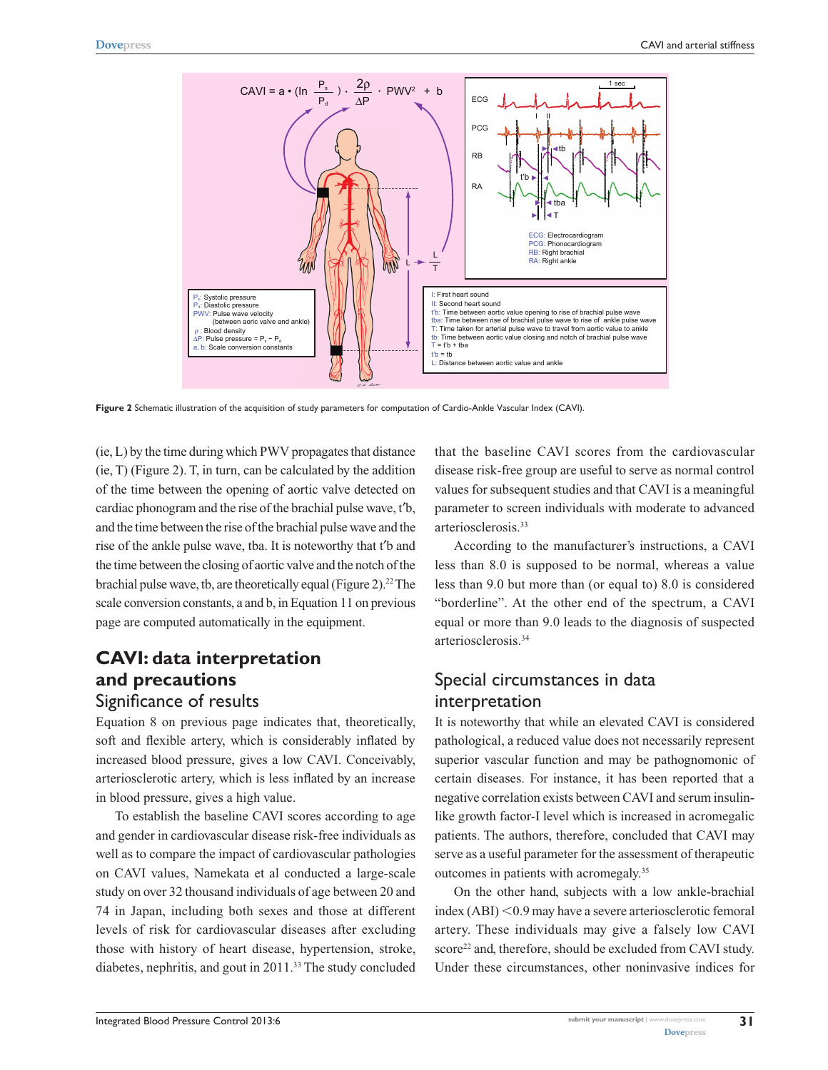

**Figure 2** Schematic illustration of the acquisition of study parameters for computation of Cardio-Ankle Vascular Index (CAVI).

(ie, L) by the time during which PWV propagates that distance (ie, T) (Figure 2). T, in turn, can be calculated by the addition of the time between the opening of aortic valve detected on cardiac phonogram and the rise of the brachial pulse wave, t′b, and the time between the rise of the brachial pulse wave and the rise of the ankle pulse wave, tba. It is noteworthy that t′b and the time between the closing of aortic valve and the notch of the brachial pulse wave, tb, are theoretically equal (Figure 2).<sup>22</sup> The scale conversion constants, a and b, in Equation 11 on previous page are computed automatically in the equipment.

### **CAVI: data interpretation and precautions** Significance of results

Equation 8 on previous page indicates that, theoretically, soft and flexible artery, which is considerably inflated by increased blood pressure, gives a low CAVI. Conceivably, arteriosclerotic artery, which is less inflated by an increase in blood pressure, gives a high value.

To establish the baseline CAVI scores according to age and gender in cardiovascular disease risk-free individuals as well as to compare the impact of cardiovascular pathologies on CAVI values, Namekata et al conducted a large-scale study on over 32 thousand individuals of age between 20 and 74 in Japan, including both sexes and those at different levels of risk for cardiovascular diseases after excluding those with history of heart disease, hypertension, stroke, diabetes, nephritis, and gout in 2011.<sup>33</sup> The study concluded

that the baseline CAVI scores from the cardiovascular disease risk-free group are useful to serve as normal control values for subsequent studies and that CAVI is a meaningful parameter to screen individuals with moderate to advanced arteriosclerosis.33

According to the manufacturer's instructions, a CAVI less than 8.0 is supposed to be normal, whereas a value less than 9.0 but more than (or equal to) 8.0 is considered "borderline". At the other end of the spectrum, a CAVI equal or more than 9.0 leads to the diagnosis of suspected arteriosclerosis.34

# Special circumstances in data interpretation

It is noteworthy that while an elevated CAVI is considered pathological, a reduced value does not necessarily represent superior vascular function and may be pathognomonic of certain diseases. For instance, it has been reported that a negative correlation exists between CAVI and serum insulinlike growth factor-I level which is increased in acromegalic patients. The authors, therefore, concluded that CAVI may serve as a useful parameter for the assessment of therapeutic outcomes in patients with acromegaly.35

On the other hand, subjects with a low ankle-brachial  $index (ABI) < 0.9$  may have a severe arteriosclerotic femoral artery. These individuals may give a falsely low CAVI score<sup>22</sup> and, therefore, should be excluded from CAVI study. Under these circumstances, other noninvasive indices for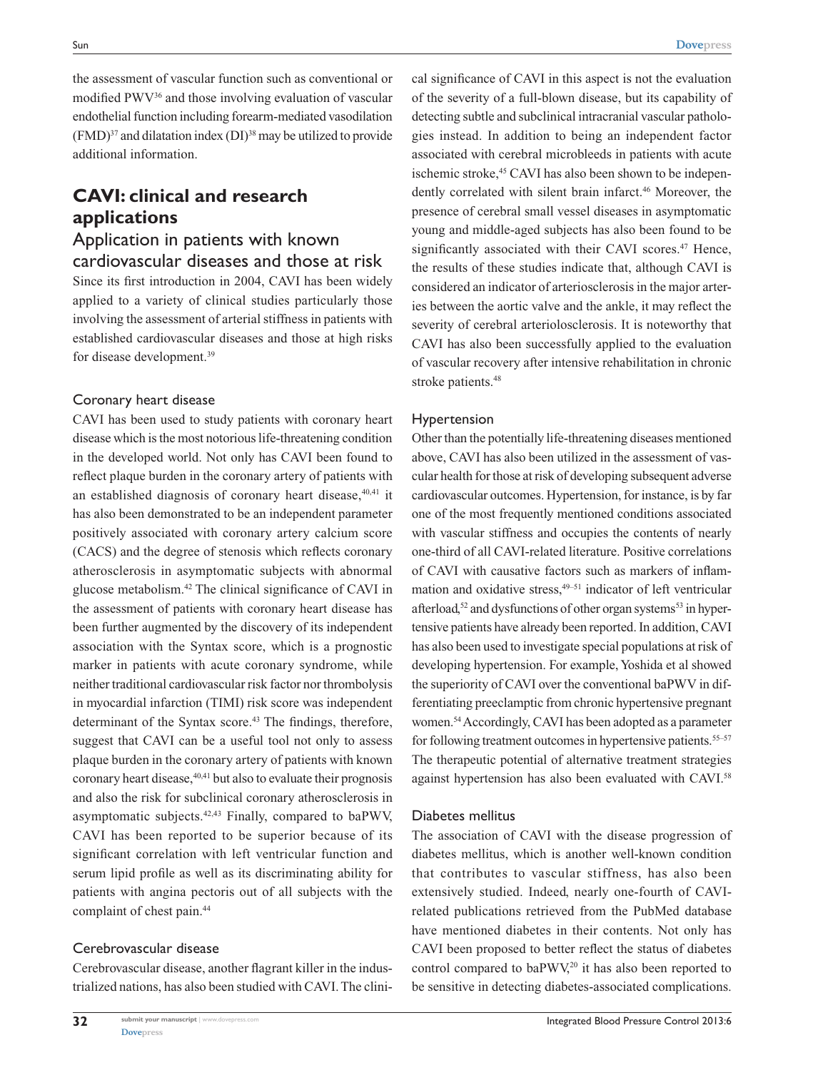the assessment of vascular function such as conventional or modified PWV36 and those involving evaluation of vascular endothelial function including forearm-mediated vasodilation  $(FMD)^{37}$  and dilatation index  $(DI)^{38}$  may be utilized to provide additional information.

# **CAVI: clinical and research applications**

### Application in patients with known cardiovascular diseases and those at risk

Since its first introduction in 2004, CAVI has been widely applied to a variety of clinical studies particularly those involving the assessment of arterial stiffness in patients with established cardiovascular diseases and those at high risks for disease development.39

#### Coronary heart disease

CAVI has been used to study patients with coronary heart disease which is the most notorious life-threatening condition in the developed world. Not only has CAVI been found to reflect plaque burden in the coronary artery of patients with an established diagnosis of coronary heart disease, $40,41$  it has also been demonstrated to be an independent parameter positively associated with coronary artery calcium score (CACS) and the degree of stenosis which reflects coronary atherosclerosis in asymptomatic subjects with abnormal glucose metabolism.42 The clinical significance of CAVI in the assessment of patients with coronary heart disease has been further augmented by the discovery of its independent association with the Syntax score, which is a prognostic marker in patients with acute coronary syndrome, while neither traditional cardiovascular risk factor nor thrombolysis in myocardial infarction (TIMI) risk score was independent determinant of the Syntax score.<sup>43</sup> The findings, therefore, suggest that CAVI can be a useful tool not only to assess plaque burden in the coronary artery of patients with known coronary heart disease,<sup>40,41</sup> but also to evaluate their prognosis and also the risk for subclinical coronary atherosclerosis in asymptomatic subjects.42,43 Finally, compared to baPWV, CAVI has been reported to be superior because of its significant correlation with left ventricular function and serum lipid profile as well as its discriminating ability for patients with angina pectoris out of all subjects with the complaint of chest pain.44

#### Cerebrovascular disease

Cerebrovascular disease, another flagrant killer in the industrialized nations, has also been studied with CAVI. The clinical significance of CAVI in this aspect is not the evaluation of the severity of a full-blown disease, but its capability of detecting subtle and subclinical intracranial vascular pathologies instead. In addition to being an independent factor associated with cerebral microbleeds in patients with acute ischemic stroke,<sup>45</sup> CAVI has also been shown to be independently correlated with silent brain infarct.<sup>46</sup> Moreover, the presence of cerebral small vessel diseases in asymptomatic young and middle-aged subjects has also been found to be significantly associated with their CAVI scores.<sup>47</sup> Hence, the results of these studies indicate that, although CAVI is considered an indicator of arteriosclerosis in the major arteries between the aortic valve and the ankle, it may reflect the severity of cerebral arteriolosclerosis. It is noteworthy that CAVI has also been successfully applied to the evaluation of vascular recovery after intensive rehabilitation in chronic stroke patients.<sup>48</sup>

#### Hypertension

Other than the potentially life-threatening diseases mentioned above, CAVI has also been utilized in the assessment of vascular health for those at risk of developing subsequent adverse cardiovascular outcomes. Hypertension, for instance, is by far one of the most frequently mentioned conditions associated with vascular stiffness and occupies the contents of nearly one-third of all CAVI-related literature. Positive correlations of CAVI with causative factors such as markers of inflammation and oxidative stress, $49-51$  indicator of left ventricular afterload,<sup>52</sup> and dysfunctions of other organ systems<sup>53</sup> in hypertensive patients have already been reported. In addition, CAVI has also been used to investigate special populations at risk of developing hypertension. For example, Yoshida et al showed the superiority of CAVI over the conventional baPWV in differentiating preeclamptic from chronic hypertensive pregnant women.54 Accordingly, CAVI has been adopted as a parameter for following treatment outcomes in hypertensive patients.<sup>55–57</sup> The therapeutic potential of alternative treatment strategies against hypertension has also been evaluated with CAVI.<sup>58</sup>

#### Diabetes mellitus

The association of CAVI with the disease progression of diabetes mellitus, which is another well-known condition that contributes to vascular stiffness, has also been extensively studied. Indeed, nearly one-fourth of CAVIrelated publications retrieved from the PubMed database have mentioned diabetes in their contents. Not only has CAVI been proposed to better reflect the status of diabetes control compared to baPWV,<sup>20</sup> it has also been reported to be sensitive in detecting diabetes-associated complications.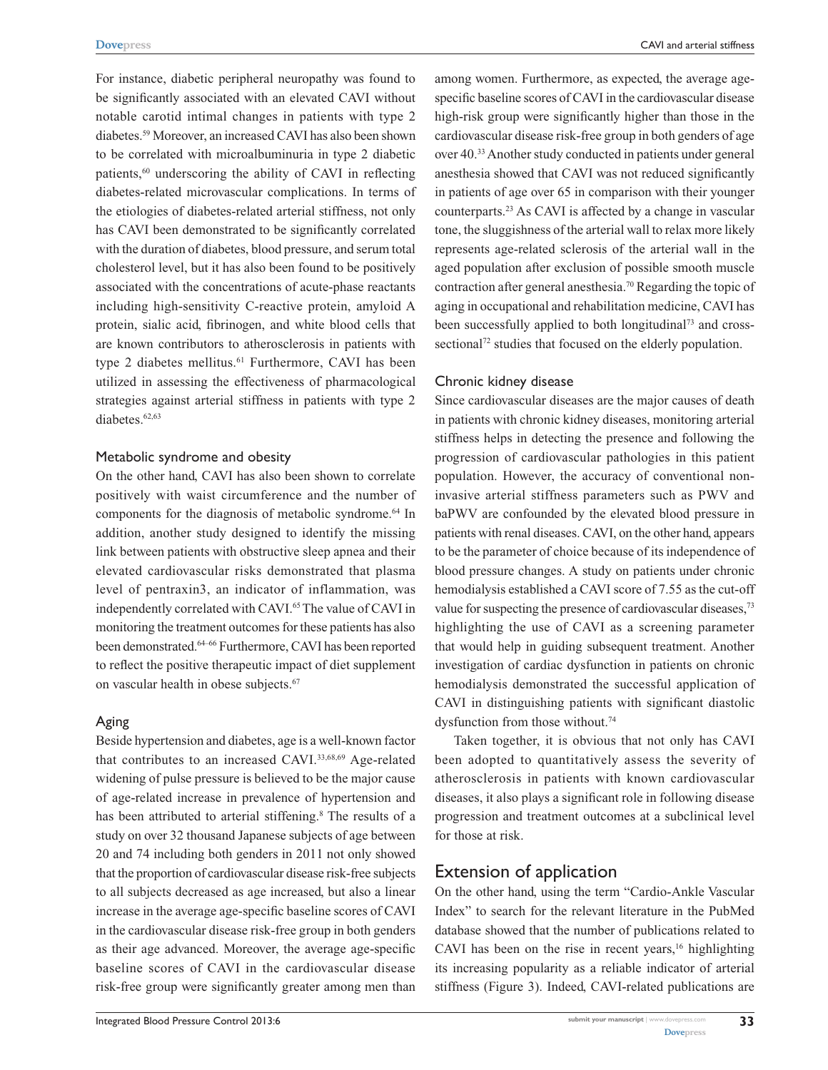For instance, diabetic peripheral neuropathy was found to be significantly associated with an elevated CAVI without notable carotid intimal changes in patients with type 2 diabetes.59 Moreover, an increased CAVI has also been shown to be correlated with microalbuminuria in type 2 diabetic patients,<sup>60</sup> underscoring the ability of CAVI in reflecting diabetes-related microvascular complications. In terms of the etiologies of diabetes-related arterial stiffness, not only has CAVI been demonstrated to be significantly correlated with the duration of diabetes, blood pressure, and serum total cholesterol level, but it has also been found to be positively associated with the concentrations of acute-phase reactants including high-sensitivity C-reactive protein, amyloid A protein, sialic acid, fibrinogen, and white blood cells that are known contributors to atherosclerosis in patients with type 2 diabetes mellitus.<sup>61</sup> Furthermore, CAVI has been utilized in assessing the effectiveness of pharmacological strategies against arterial stiffness in patients with type 2 diabetes.<sup>62,63</sup>

#### Metabolic syndrome and obesity

On the other hand, CAVI has also been shown to correlate positively with waist circumference and the number of components for the diagnosis of metabolic syndrome.<sup>64</sup> In addition, another study designed to identify the missing link between patients with obstructive sleep apnea and their elevated cardiovascular risks demonstrated that plasma level of pentraxin3, an indicator of inflammation, was independently correlated with CAVI.<sup>65</sup> The value of CAVI in monitoring the treatment outcomes for these patients has also been demonstrated.<sup>64–66</sup> Furthermore, CAVI has been reported to reflect the positive therapeutic impact of diet supplement on vascular health in obese subjects.<sup>67</sup>

#### Aging

Beside hypertension and diabetes, age is a well-known factor that contributes to an increased CAVI.33,68,69 Age-related widening of pulse pressure is believed to be the major cause of age-related increase in prevalence of hypertension and has been attributed to arterial stiffening.<sup>8</sup> The results of a study on over 32 thousand Japanese subjects of age between 20 and 74 including both genders in 2011 not only showed that the proportion of cardiovascular disease risk-free subjects to all subjects decreased as age increased, but also a linear increase in the average age-specific baseline scores of CAVI in the cardiovascular disease risk-free group in both genders as their age advanced. Moreover, the average age-specific baseline scores of CAVI in the cardiovascular disease risk-free group were significantly greater among men than

among women. Furthermore, as expected, the average agespecific baseline scores of CAVI in the cardiovascular disease high-risk group were significantly higher than those in the cardiovascular disease risk-free group in both genders of age over 40.33 Another study conducted in patients under general anesthesia showed that CAVI was not reduced significantly in patients of age over 65 in comparison with their younger counterparts.23 As CAVI is affected by a change in vascular tone, the sluggishness of the arterial wall to relax more likely represents age-related sclerosis of the arterial wall in the aged population after exclusion of possible smooth muscle contraction after general anesthesia.70 Regarding the topic of aging in occupational and rehabilitation medicine, CAVI has been successfully applied to both longitudinal<sup>73</sup> and crosssectional<sup>72</sup> studies that focused on the elderly population.

#### Chronic kidney disease

Since cardiovascular diseases are the major causes of death in patients with chronic kidney diseases, monitoring arterial stiffness helps in detecting the presence and following the progression of cardiovascular pathologies in this patient population. However, the accuracy of conventional noninvasive arterial stiffness parameters such as PWV and baPWV are confounded by the elevated blood pressure in patients with renal diseases. CAVI, on the other hand, appears to be the parameter of choice because of its independence of blood pressure changes. A study on patients under chronic hemodialysis established a CAVI score of 7.55 as the cut-off value for suspecting the presence of cardiovascular diseases,<sup>73</sup> highlighting the use of CAVI as a screening parameter that would help in guiding subsequent treatment. Another investigation of cardiac dysfunction in patients on chronic hemodialysis demonstrated the successful application of CAVI in distinguishing patients with significant diastolic dysfunction from those without.<sup>74</sup>

Taken together, it is obvious that not only has CAVI been adopted to quantitatively assess the severity of atherosclerosis in patients with known cardiovascular diseases, it also plays a significant role in following disease progression and treatment outcomes at a subclinical level for those at risk.

### Extension of application

On the other hand, using the term "Cardio-Ankle Vascular Index" to search for the relevant literature in the PubMed database showed that the number of publications related to CAVI has been on the rise in recent years, $16$  highlighting its increasing popularity as a reliable indicator of arterial stiffness (Figure 3). Indeed, CAVI-related publications are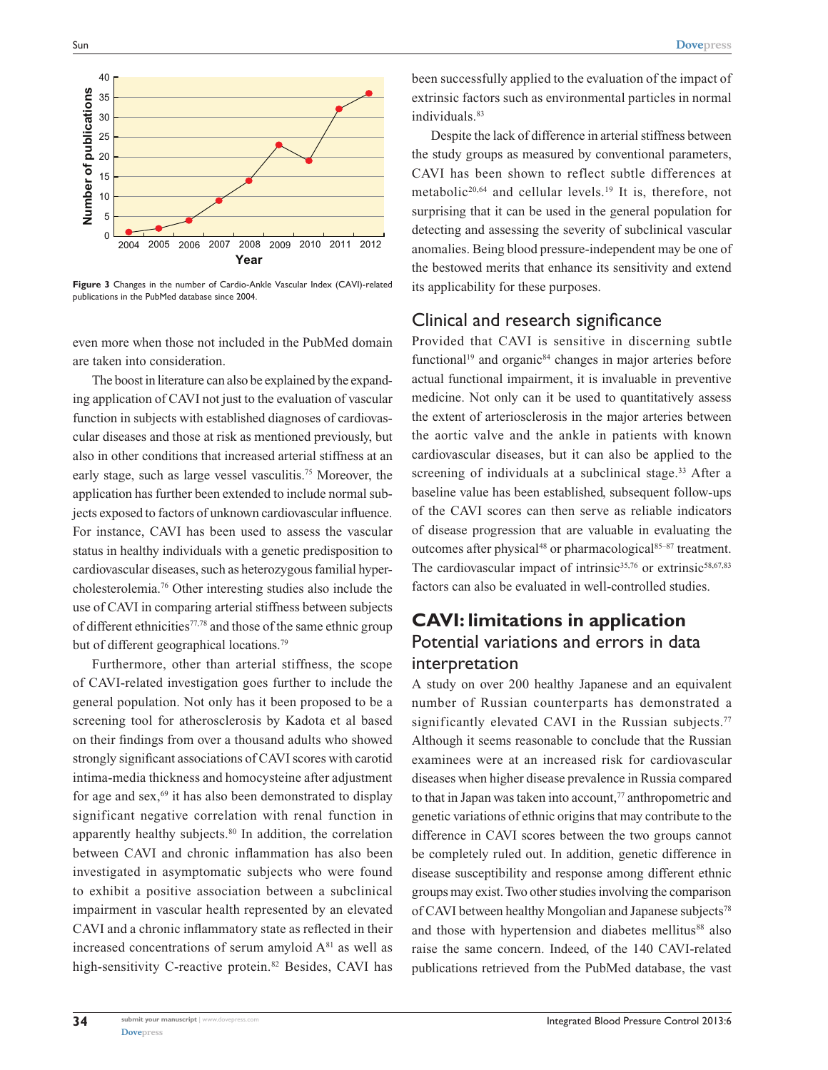

**Figure 3** Changes in the number of Cardio-Ankle Vascular Index (CAVI)-related publications in the PubMed database since 2004.

even more when those not included in the PubMed domain are taken into consideration.

The boost in literature can also be explained by the expanding application of CAVI not just to the evaluation of vascular function in subjects with established diagnoses of cardiovascular diseases and those at risk as mentioned previously, but also in other conditions that increased arterial stiffness at an early stage, such as large vessel vasculitis.<sup>75</sup> Moreover, the application has further been extended to include normal subjects exposed to factors of unknown cardiovascular influence. For instance, CAVI has been used to assess the vascular status in healthy individuals with a genetic predisposition to cardiovascular diseases, such as heterozygous familial hypercholesterolemia.76 Other interesting studies also include the use of CAVI in comparing arterial stiffness between subjects of different ethnicities77,78 and those of the same ethnic group but of different geographical locations.<sup>79</sup>

Furthermore, other than arterial stiffness, the scope of CAVI-related investigation goes further to include the general population. Not only has it been proposed to be a screening tool for atherosclerosis by Kadota et al based on their findings from over a thousand adults who showed strongly significant associations of CAVI scores with carotid intima-media thickness and homocysteine after adjustment for age and  $sex$ <sup> $69$ </sup> it has also been demonstrated to display significant negative correlation with renal function in apparently healthy subjects. $80$  In addition, the correlation between CAVI and chronic inflammation has also been investigated in asymptomatic subjects who were found to exhibit a positive association between a subclinical impairment in vascular health represented by an elevated CAVI and a chronic inflammatory state as reflected in their increased concentrations of serum amyloid  $A^{81}$  as well as high-sensitivity C-reactive protein.<sup>82</sup> Besides, CAVI has been successfully applied to the evaluation of the impact of extrinsic factors such as environmental particles in normal individuals.<sup>83</sup>

Despite the lack of difference in arterial stiffness between the study groups as measured by conventional parameters, CAVI has been shown to reflect subtle differences at metabolic<sup>20,64</sup> and cellular levels.<sup>19</sup> It is, therefore, not surprising that it can be used in the general population for detecting and assessing the severity of subclinical vascular anomalies. Being blood pressure-independent may be one of the bestowed merits that enhance its sensitivity and extend its applicability for these purposes.

### Clinical and research significance

Provided that CAVI is sensitive in discerning subtle functional<sup>19</sup> and organic<sup>84</sup> changes in major arteries before actual functional impairment, it is invaluable in preventive medicine. Not only can it be used to quantitatively assess the extent of arteriosclerosis in the major arteries between the aortic valve and the ankle in patients with known cardiovascular diseases, but it can also be applied to the screening of individuals at a subclinical stage.<sup>33</sup> After a baseline value has been established, subsequent follow-ups of the CAVI scores can then serve as reliable indicators of disease progression that are valuable in evaluating the outcomes after physical<sup>48</sup> or pharmacological<sup>85-87</sup> treatment. The cardiovascular impact of intrinsic $35,76$  or extrinsic $58,67,83$ factors can also be evaluated in well-controlled studies.

# **CAVI: limitations in application** Potential variations and errors in data interpretation

A study on over 200 healthy Japanese and an equivalent number of Russian counterparts has demonstrated a significantly elevated CAVI in the Russian subjects.<sup>77</sup> Although it seems reasonable to conclude that the Russian examinees were at an increased risk for cardiovascular diseases when higher disease prevalence in Russia compared to that in Japan was taken into account,<sup>77</sup> anthropometric and genetic variations of ethnic origins that may contribute to the difference in CAVI scores between the two groups cannot be completely ruled out. In addition, genetic difference in disease susceptibility and response among different ethnic groups may exist. Two other studies involving the comparison of CAVI between healthy Mongolian and Japanese subjects<sup>78</sup> and those with hypertension and diabetes mellitus<sup>88</sup> also raise the same concern. Indeed, of the 140 CAVI-related publications retrieved from the PubMed database, the vast

**34**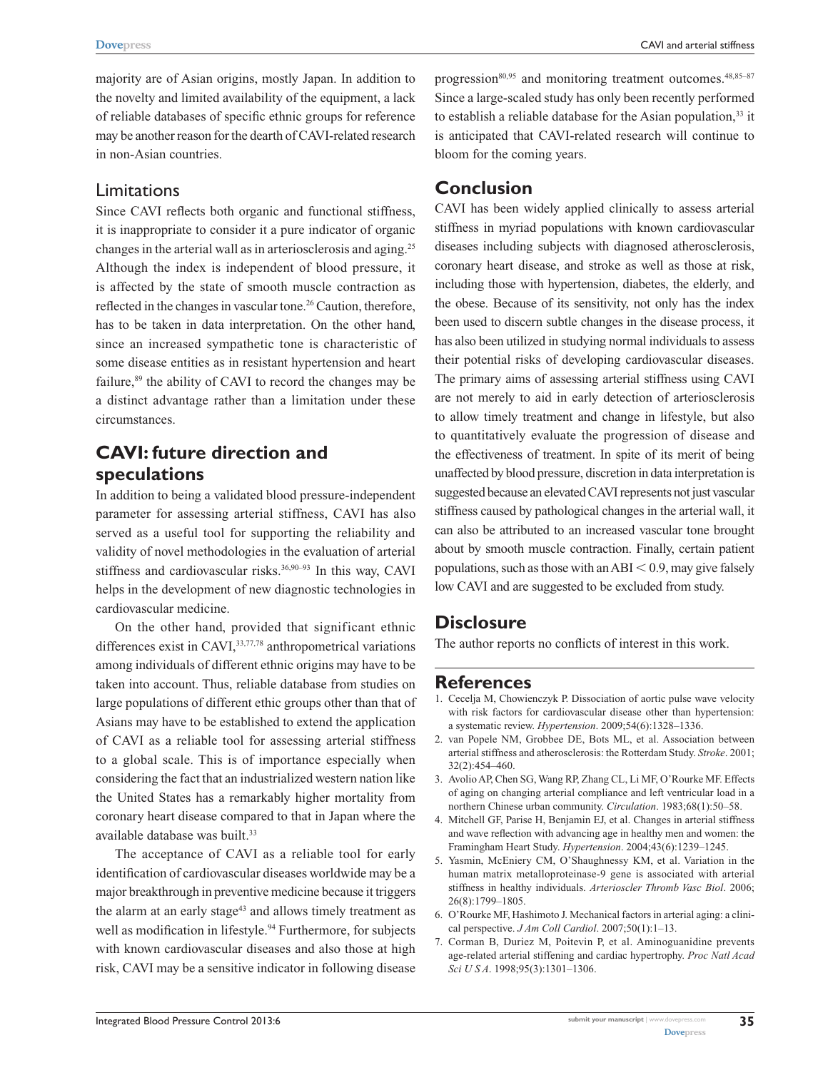majority are of Asian origins, mostly Japan. In addition to the novelty and limited availability of the equipment, a lack of reliable databases of specific ethnic groups for reference may be another reason for the dearth of CAVI-related research in non-Asian countries.

### Limitations

Since CAVI reflects both organic and functional stiffness, it is inappropriate to consider it a pure indicator of organic changes in the arterial wall as in arteriosclerosis and aging.25 Although the index is independent of blood pressure, it is affected by the state of smooth muscle contraction as reflected in the changes in vascular tone.<sup>26</sup> Caution, therefore, has to be taken in data interpretation. On the other hand, since an increased sympathetic tone is characteristic of some disease entities as in resistant hypertension and heart failure,<sup>89</sup> the ability of CAVI to record the changes may be a distinct advantage rather than a limitation under these circumstances.

# **CAVI: future direction and speculations**

In addition to being a validated blood pressure-independent parameter for assessing arterial stiffness, CAVI has also served as a useful tool for supporting the reliability and validity of novel methodologies in the evaluation of arterial stiffness and cardiovascular risks.<sup>36,90–93</sup> In this way, CAVI helps in the development of new diagnostic technologies in cardiovascular medicine.

On the other hand, provided that significant ethnic differences exist in CAVI,<sup>33,77,78</sup> anthropometrical variations among individuals of different ethnic origins may have to be taken into account. Thus, reliable database from studies on large populations of different ethic groups other than that of Asians may have to be established to extend the application of CAVI as a reliable tool for assessing arterial stiffness to a global scale. This is of importance especially when considering the fact that an industrialized western nation like the United States has a remarkably higher mortality from coronary heart disease compared to that in Japan where the available database was built.<sup>33</sup>

The acceptance of CAVI as a reliable tool for early identification of cardiovascular diseases worldwide may be a major breakthrough in preventive medicine because it triggers the alarm at an early stage<sup>43</sup> and allows timely treatment as well as modification in lifestyle.<sup>94</sup> Furthermore, for subjects with known cardiovascular diseases and also those at high risk, CAVI may be a sensitive indicator in following disease progression $80,95$  and monitoring treatment outcomes.  $48,85-87$ Since a large-scaled study has only been recently performed to establish a reliable database for the Asian population,  $33$  it is anticipated that CAVI-related research will continue to bloom for the coming years.

### **Conclusion**

CAVI has been widely applied clinically to assess arterial stiffness in myriad populations with known cardiovascular diseases including subjects with diagnosed atherosclerosis, coronary heart disease, and stroke as well as those at risk, including those with hypertension, diabetes, the elderly, and the obese. Because of its sensitivity, not only has the index been used to discern subtle changes in the disease process, it has also been utilized in studying normal individuals to assess their potential risks of developing cardiovascular diseases. The primary aims of assessing arterial stiffness using CAVI are not merely to aid in early detection of arteriosclerosis to allow timely treatment and change in lifestyle, but also to quantitatively evaluate the progression of disease and the effectiveness of treatment. In spite of its merit of being unaffected by blood pressure, discretion in data interpretation is suggested because an elevated CAVI represents not just vascular stiffness caused by pathological changes in the arterial wall, it can also be attributed to an increased vascular tone brought about by smooth muscle contraction. Finally, certain patient populations, such as those with an ABI  $< 0.9$ , may give falsely low CAVI and are suggested to be excluded from study.

# **Disclosure**

The author reports no conflicts of interest in this work.

# **References**

- 1. Cecelja M, Chowienczyk P. Dissociation of aortic pulse wave velocity with risk factors for cardiovascular disease other than hypertension: a systematic review. *Hypertension*. 2009;54(6):1328–1336.
- 2. van Popele NM, Grobbee DE, Bots ML, et al. Association between arterial stiffness and atherosclerosis: the Rotterdam Study. *Stroke*. 2001; 32(2):454–460.
- 3. Avolio AP, Chen SG, Wang RP, Zhang CL, Li MF, O'Rourke MF. Effects of aging on changing arterial compliance and left ventricular load in a northern Chinese urban community. *Circulation*. 1983;68(1):50–58.
- 4. Mitchell GF, Parise H, Benjamin EJ, et al. Changes in arterial stiffness and wave reflection with advancing age in healthy men and women: the Framingham Heart Study. *Hypertension*. 2004;43(6):1239–1245.
- 5. Yasmin, McEniery CM, O'Shaughnessy KM, et al. Variation in the human matrix metalloproteinase-9 gene is associated with arterial stiffness in healthy individuals. *Arterioscler Thromb Vasc Biol*. 2006; 26(8):1799–1805.
- 6. O'Rourke MF, Hashimoto J. Mechanical factors in arterial aging: a clinical perspective. *J Am Coll Cardiol*. 2007;50(1):1–13.
- 7. Corman B, Duriez M, Poitevin P, et al. Aminoguanidine prevents age-related arterial stiffening and cardiac hypertrophy. *Proc Natl Acad Sci U S A*. 1998;95(3):1301–1306.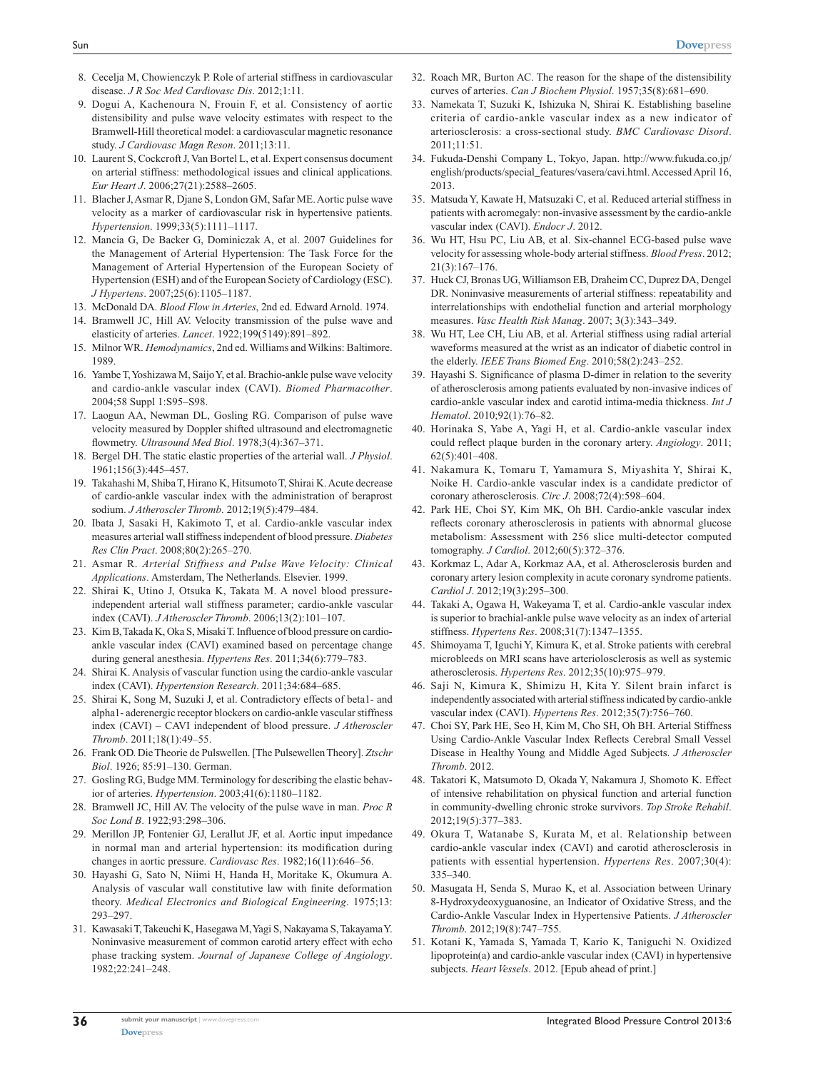- 8. Cecelja M, Chowienczyk P. Role of arterial stiffness in cardiovascular disease. *J R Soc Med Cardiovasc Dis*. 2012;1:11.
- 9. Dogui A, Kachenoura N, Frouin F, et al. Consistency of aortic distensibility and pulse wave velocity estimates with respect to the Bramwell-Hill theoretical model: a cardiovascular magnetic resonance study. *J Cardiovasc Magn Reson*. 2011;13:11.
- 10. Laurent S, Cockcroft J, Van Bortel L, et al. Expert consensus document on arterial stiffness: methodological issues and clinical applications. *Eur Heart J*. 2006;27(21):2588–2605.
- 11. Blacher J, Asmar R, Djane S, London GM, Safar ME. Aortic pulse wave velocity as a marker of cardiovascular risk in hypertensive patients. *Hypertension*. 1999;33(5):1111–1117.
- 12. Mancia G, De Backer G, Dominiczak A, et al. 2007 Guidelines for the Management of Arterial Hypertension: The Task Force for the Management of Arterial Hypertension of the European Society of Hypertension (ESH) and of the European Society of Cardiology (ESC). *J Hypertens*. 2007;25(6):1105–1187.
- 13. McDonald DA. *Blood Flow in Arteries*, 2nd ed. Edward Arnold. 1974.
- 14. Bramwell JC, Hill AV. Velocity transmission of the pulse wave and elasticity of arteries. *Lancet*. 1922;199(5149):891–892.
- 15. Milnor WR. *Hemodynamics*, 2nd ed. Williams and Wilkins: Baltimore. 1989.
- 16. Yambe T, Yoshizawa M, Saijo Y, et al. Brachio-ankle pulse wave velocity and cardio-ankle vascular index (CAVI). *Biomed Pharmacother*. 2004;58 Suppl 1:S95–S98.
- 17. Laogun AA, Newman DL, Gosling RG. Comparison of pulse wave velocity measured by Doppler shifted ultrasound and electromagnetic flowmetry. *Ultrasound Med Biol*. 1978;3(4):367–371.
- 18. Bergel DH. The static elastic properties of the arterial wall. *J Physiol*. 1961;156(3):445–457.
- 19. Takahashi M, Shiba T, Hirano K, Hitsumoto T, Shirai K. Acute decrease of cardio-ankle vascular index with the administration of beraprost sodium. *J Atheroscler Thromb*. 2012;19(5):479–484.
- 20. Ibata J, Sasaki H, Kakimoto T, et al. Cardio-ankle vascular index measures arterial wall stiffness independent of blood pressure. *Diabetes Res Clin Pract*. 2008;80(2):265–270.
- 21. Asmar R. *Arterial Stiffness and Pulse Wave Velocity: Clinical Applications*. Amsterdam, The Netherlands. Elsevier. 1999.
- 22. Shirai K, Utino J, Otsuka K, Takata M. A novel blood pressureindependent arterial wall stiffness parameter; cardio-ankle vascular index (CAVI). *J Atheroscler Thromb*. 2006;13(2):101–107.
- 23. Kim B, Takada K, Oka S, Misaki T. Influence of blood pressure on cardioankle vascular index (CAVI) examined based on percentage change during general anesthesia. *Hypertens Res*. 2011;34(6):779–783.
- 24. Shirai K. Analysis of vascular function using the cardio-ankle vascular index (CAVI). *Hypertension Research*. 2011;34:684–685.
- 25. Shirai K, Song M, Suzuki J, et al. Contradictory effects of beta1- and alpha1- aderenergic receptor blockers on cardio-ankle vascular stiffness index (CAVI) – CAVI independent of blood pressure. *J Atheroscler Thromb*. 2011;18(1):49–55.
- 26. Frank OD. Die Theorie de Pulswellen. [The Pulsewellen Theory]. *Ztschr Biol*. 1926; 85:91–130. German.
- 27. Gosling RG, Budge MM. Terminology for describing the elastic behavior of arteries. *Hypertension*. 2003;41(6):1180–1182.
- 28. Bramwell JC, Hill AV. The velocity of the pulse wave in man. *Proc R Soc Lond B*. 1922;93:298–306.
- 29. Merillon JP, Fontenier GJ, Lerallut JF, et al. Aortic input impedance in normal man and arterial hypertension: its modification during changes in aortic pressure. *Cardiovasc Res*. 1982;16(11):646–56.
- 30. Hayashi G, Sato N, Niimi H, Handa H, Moritake K, Okumura A. Analysis of vascular wall constitutive law with finite deformation theory. *Medical Electronics and Biological Engineering*. 1975;13: 293–297.
- 31. Kawasaki T, Takeuchi K, Hasegawa M, Yagi S, Nakayama S, Takayama Y. Noninvasive measurement of common carotid artery effect with echo phase tracking system. *Journal of Japanese College of Angiology*. 1982;22:241–248.
- 32. Roach MR, Burton AC. The reason for the shape of the distensibility curves of arteries. *Can J Biochem Physiol*. 1957;35(8):681–690.
- 33. Namekata T, Suzuki K, Ishizuka N, Shirai K. Establishing baseline criteria of cardio-ankle vascular index as a new indicator of arteriosclerosis: a cross-sectional study. *BMC Cardiovasc Disord*. 2011;11:51.
- 34. Fukuda-Denshi Company L, Tokyo, Japan. [http://www.fukuda.co.jp/](http://www.fukuda.co.jp/english/products/special_features/vasera/cavi.html) [english/products/special\\_features/vasera/cavi.html.](http://www.fukuda.co.jp/english/products/special_features/vasera/cavi.html) Accessed April 16, 2013.
- 35. Matsuda Y, Kawate H, Matsuzaki C, et al. Reduced arterial stiffness in patients with acromegaly: non-invasive assessment by the cardio-ankle vascular index (CAVI). *Endocr J*. 2012.
- 36. Wu HT, Hsu PC, Liu AB, et al. Six-channel ECG-based pulse wave velocity for assessing whole-body arterial stiffness. *Blood Press*. 2012; 21(3):167–176.
- 37. Huck CJ, Bronas UG, Williamson EB, Draheim CC, Duprez DA, Dengel DR. Noninvasive measurements of arterial stiffness: repeatability and interrelationships with endothelial function and arterial morphology measures. *Vasc Health Risk Manag*. 2007; 3(3):343–349.
- 38. Wu HT, Lee CH, Liu AB, et al. Arterial stiffness using radial arterial waveforms measured at the wrist as an indicator of diabetic control in the elderly. *IEEE Trans Biomed Eng*. 2010;58(2):243–252.
- 39. Hayashi S. Significance of plasma D-dimer in relation to the severity of atherosclerosis among patients evaluated by non-invasive indices of cardio-ankle vascular index and carotid intima-media thickness. *Int J Hematol*. 2010;92(1):76–82.
- 40. Horinaka S, Yabe A, Yagi H, et al. Cardio-ankle vascular index could reflect plaque burden in the coronary artery. *Angiology*. 2011; 62(5):401–408.
- 41. Nakamura K, Tomaru T, Yamamura S, Miyashita Y, Shirai K, Noike H. Cardio-ankle vascular index is a candidate predictor of coronary atherosclerosis. *Circ J*. 2008;72(4):598–604.
- 42. Park HE, Choi SY, Kim MK, Oh BH. Cardio-ankle vascular index reflects coronary atherosclerosis in patients with abnormal glucose metabolism: Assessment with 256 slice multi-detector computed tomography. *J Cardiol*. 2012;60(5):372–376.
- 43. Korkmaz L, Adar A, Korkmaz AA, et al. Atherosclerosis burden and coronary artery lesion complexity in acute coronary syndrome patients. *Cardiol J*. 2012;19(3):295–300.
- 44. Takaki A, Ogawa H, Wakeyama T, et al. Cardio-ankle vascular index is superior to brachial-ankle pulse wave velocity as an index of arterial stiffness. *Hypertens Res*. 2008;31(7):1347–1355.
- 45. Shimoyama T, Iguchi Y, Kimura K, et al. Stroke patients with cerebral microbleeds on MRI scans have arteriolosclerosis as well as systemic atherosclerosis. *Hypertens Res*. 2012;35(10):975–979.
- 46. Saji N, Kimura K, Shimizu H, Kita Y. Silent brain infarct is independently associated with arterial stiffness indicated by cardio-ankle vascular index (CAVI). *Hypertens Res*. 2012;35(7):756–760.
- 47. Choi SY, Park HE, Seo H, Kim M, Cho SH, Oh BH. Arterial Stiffness Using Cardio-Ankle Vascular Index Reflects Cerebral Small Vessel Disease in Healthy Young and Middle Aged Subjects. *J Atheroscler Thromb*. 2012.
- 48. Takatori K, Matsumoto D, Okada Y, Nakamura J, Shomoto K. Effect of intensive rehabilitation on physical function and arterial function in community-dwelling chronic stroke survivors. *Top Stroke Rehabil*. 2012;19(5):377–383.
- 49. Okura T, Watanabe S, Kurata M, et al. Relationship between cardio-ankle vascular index (CAVI) and carotid atherosclerosis in patients with essential hypertension. *Hypertens Res*. 2007;30(4): 335–340.
- 50. Masugata H, Senda S, Murao K, et al. Association between Urinary 8-Hydroxydeoxyguanosine, an Indicator of Oxidative Stress, and the Cardio-Ankle Vascular Index in Hypertensive Patients. *J Atheroscler Thromb*. 2012;19(8):747–755.
- 51. Kotani K, Yamada S, Yamada T, Kario K, Taniguchi N. Oxidized lipoprotein(a) and cardio-ankle vascular index (CAVI) in hypertensive subjects. *Heart Vessels*. 2012. [Epub ahead of print.]

**36**

Sun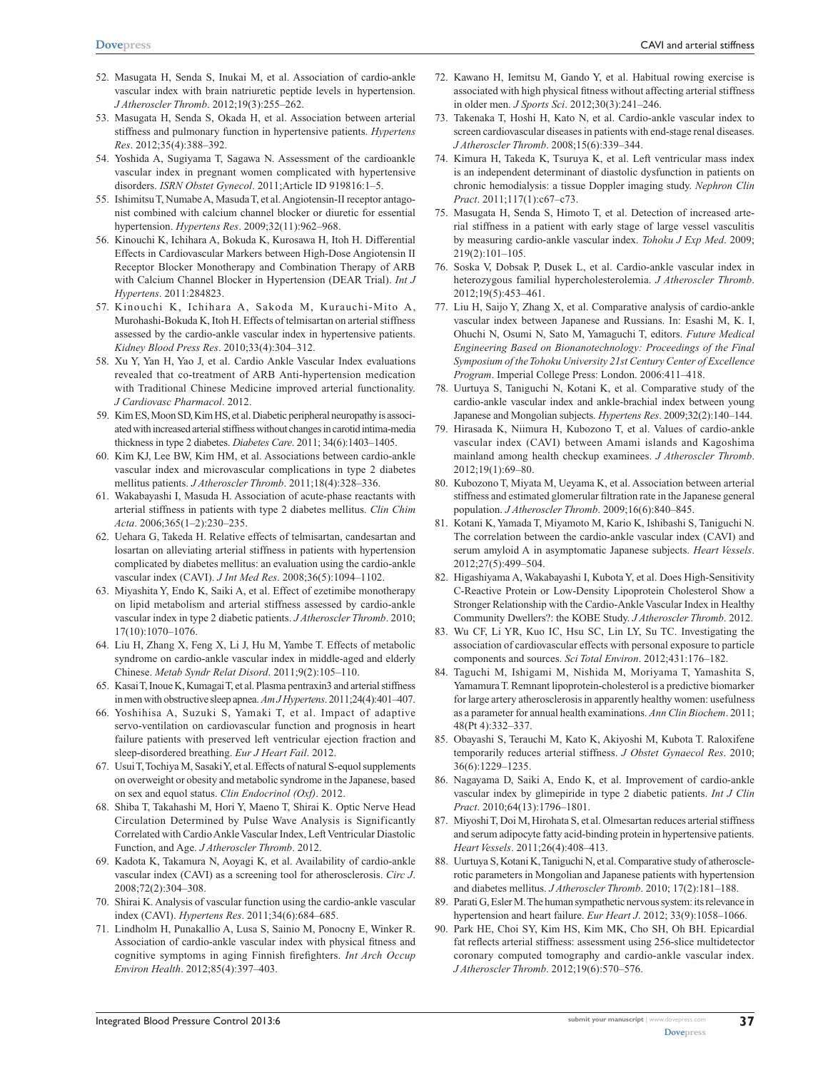- 52. Masugata H, Senda S, Inukai M, et al. Association of cardio-ankle vascular index with brain natriuretic peptide levels in hypertension. *J Atheroscler Thromb*. 2012;19(3):255–262.
- 53. Masugata H, Senda S, Okada H, et al. Association between arterial stiffness and pulmonary function in hypertensive patients. *Hypertens Res*. 2012;35(4):388–392.
- 54. Yoshida A, Sugiyama T, Sagawa N. Assessment of the cardioankle vascular index in pregnant women complicated with hypertensive disorders. *ISRN Obstet Gynecol*. 2011;Article ID 919816:1–5.
- 55. Ishimitsu T, Numabe A, Masuda T, et al. Angiotensin-II receptor antagonist combined with calcium channel blocker or diuretic for essential hypertension. *Hypertens Res*. 2009;32(11):962–968.
- 56. Kinouchi K, Ichihara A, Bokuda K, Kurosawa H, Itoh H. Differential Effects in Cardiovascular Markers between High-Dose Angiotensin II Receptor Blocker Monotherapy and Combination Therapy of ARB with Calcium Channel Blocker in Hypertension (DEAR Trial). *Int J Hypertens*. 2011:284823.
- 57. Kinouchi K, Ichihara A, Sakoda M, Kurauchi-Mito A, Murohashi-Bokuda K, Itoh H. Effects of telmisartan on arterial stiffness assessed by the cardio-ankle vascular index in hypertensive patients. *Kidney Blood Press Res*. 2010;33(4):304–312.
- 58. Xu Y, Yan H, Yao J, et al. Cardio Ankle Vascular Index evaluations revealed that co-treatment of ARB Anti-hypertension medication with Traditional Chinese Medicine improved arterial functionality. *J Cardiovasc Pharmacol*. 2012.
- 59. Kim ES, Moon SD, Kim HS, et al. Diabetic peripheral neuropathy is associated with increased arterial stiffness without changes in carotid intima-media thickness in type 2 diabetes. *Diabetes Care*. 2011; 34(6):1403–1405.
- 60. Kim KJ, Lee BW, Kim HM, et al. Associations between cardio-ankle vascular index and microvascular complications in type 2 diabetes mellitus patients. *J Atheroscler Thromb*. 2011;18(4):328–336.
- 61. Wakabayashi I, Masuda H. Association of acute-phase reactants with arterial stiffness in patients with type 2 diabetes mellitus. *Clin Chim Acta*. 2006;365(1–2):230–235.
- 62. Uehara G, Takeda H. Relative effects of telmisartan, candesartan and losartan on alleviating arterial stiffness in patients with hypertension complicated by diabetes mellitus: an evaluation using the cardio-ankle vascular index (CAVI). *J Int Med Res*. 2008;36(5):1094–1102.
- 63. Miyashita Y, Endo K, Saiki A, et al. Effect of ezetimibe monotherapy on lipid metabolism and arterial stiffness assessed by cardio-ankle vascular index in type 2 diabetic patients. *J Atheroscler Thromb*. 2010; 17(10):1070–1076.
- 64. Liu H, Zhang X, Feng X, Li J, Hu M, Yambe T. Effects of metabolic syndrome on cardio-ankle vascular index in middle-aged and elderly Chinese. *Metab Syndr Relat Disord*. 2011;9(2):105–110.
- 65. Kasai T, Inoue K, Kumagai T, et al. Plasma pentraxin3 and arterial stiffness in men with obstructive sleep apnea. *Am J Hypertens*. 2011;24(4):401–407.
- 66. Yoshihisa A, Suzuki S, Yamaki T, et al. Impact of adaptive servo-ventilation on cardiovascular function and prognosis in heart failure patients with preserved left ventricular ejection fraction and sleep-disordered breathing. *Eur J Heart Fail*. 2012.
- 67. Usui T, Tochiya M, Sasaki Y, et al. Effects of natural S-equol supplements on overweight or obesity and metabolic syndrome in the Japanese, based on sex and equol status. *Clin Endocrinol (Oxf)*. 2012.
- 68. Shiba T, Takahashi M, Hori Y, Maeno T, Shirai K. Optic Nerve Head Circulation Determined by Pulse Wave Analysis is Significantly Correlated with Cardio Ankle Vascular Index, Left Ventricular Diastolic Function, and Age. *J Atheroscler Thromb*. 2012.
- 69. Kadota K, Takamura N, Aoyagi K, et al. Availability of cardio-ankle vascular index (CAVI) as a screening tool for atherosclerosis. *Circ J*. 2008;72(2):304–308.
- 70. Shirai K. Analysis of vascular function using the cardio-ankle vascular index (CAVI). *Hypertens Res*. 2011;34(6):684–685.
- 71. Lindholm H, Punakallio A, Lusa S, Sainio M, Ponocny E, Winker R. Association of cardio-ankle vascular index with physical fitness and cognitive symptoms in aging Finnish firefighters. *Int Arch Occup Environ Health*. 2012;85(4):397–403.
- 72. Kawano H, Iemitsu M, Gando Y, et al. Habitual rowing exercise is associated with high physical fitness without affecting arterial stiffness in older men. *J Sports Sci*. 2012;30(3):241–246.
- 73. Takenaka T, Hoshi H, Kato N, et al. Cardio-ankle vascular index to screen cardiovascular diseases in patients with end-stage renal diseases. *J Atheroscler Thromb*. 2008;15(6):339–344.
- 74. Kimura H, Takeda K, Tsuruya K, et al. Left ventricular mass index is an independent determinant of diastolic dysfunction in patients on chronic hemodialysis: a tissue Doppler imaging study. *Nephron Clin Pract*. 2011;117(1):c67–c73.
- 75. Masugata H, Senda S, Himoto T, et al. Detection of increased arterial stiffness in a patient with early stage of large vessel vasculitis by measuring cardio-ankle vascular index. *Tohoku J Exp Med*. 2009; 219(2):101–105.
- 76. Soska V, Dobsak P, Dusek L, et al. Cardio-ankle vascular index in heterozygous familial hypercholesterolemia. *J Atheroscler Thromb*. 2012;19(5):453–461.
- 77. Liu H, Saijo Y, Zhang X, et al. Comparative analysis of cardio-ankle vascular index between Japanese and Russians. In: Esashi M, K. I, Ohuchi N, Osumi N, Sato M, Yamaguchi T, editors. *Future Medical Engineering Based on Bionanotechnology: Proceedings of the Final Symposium of the Tohoku University 21st Century Center of Excellence Program*. Imperial College Press: London. 2006:411–418.
- 78. Uurtuya S, Taniguchi N, Kotani K, et al. Comparative study of the cardio-ankle vascular index and ankle-brachial index between young Japanese and Mongolian subjects. *Hypertens Res*. 2009;32(2):140–144.
- 79. Hirasada K, Niimura H, Kubozono T, et al. Values of cardio-ankle vascular index (CAVI) between Amami islands and Kagoshima mainland among health checkup examinees. *J Atheroscler Thromb*. 2012;19(1):69–80.
- 80. Kubozono T, Miyata M, Ueyama K, et al. Association between arterial stiffness and estimated glomerular filtration rate in the Japanese general population. *J Atheroscler Thromb*. 2009;16(6):840–845.
- 81. Kotani K, Yamada T, Miyamoto M, Kario K, Ishibashi S, Taniguchi N. The correlation between the cardio-ankle vascular index (CAVI) and serum amyloid A in asymptomatic Japanese subjects. *Heart Vessels*. 2012;27(5):499–504.
- 82. Higashiyama A, Wakabayashi I, Kubota Y, et al. Does High-Sensitivity C-Reactive Protein or Low-Density Lipoprotein Cholesterol Show a Stronger Relationship with the Cardio-Ankle Vascular Index in Healthy Community Dwellers?: the KOBE Study. *J Atheroscler Thromb*. 2012.
- 83. Wu CF, Li YR, Kuo IC, Hsu SC, Lin LY, Su TC. Investigating the association of cardiovascular effects with personal exposure to particle components and sources. *Sci Total Environ*. 2012;431:176–182.
- 84. Taguchi M, Ishigami M, Nishida M, Moriyama T, Yamashita S, Yamamura T. Remnant lipoprotein-cholesterol is a predictive biomarker for large artery atherosclerosis in apparently healthy women: usefulness as a parameter for annual health examinations. *Ann Clin Biochem*. 2011; 48(Pt 4):332–337.
- 85. Obayashi S, Terauchi M, Kato K, Akiyoshi M, Kubota T. Raloxifene temporarily reduces arterial stiffness. *J Obstet Gynaecol Res*. 2010; 36(6):1229–1235.
- 86. Nagayama D, Saiki A, Endo K, et al. Improvement of cardio-ankle vascular index by glimepiride in type 2 diabetic patients. *Int J Clin Pract*. 2010;64(13):1796–1801.
- 87. Miyoshi T, Doi M, Hirohata S, et al. Olmesartan reduces arterial stiffness and serum adipocyte fatty acid-binding protein in hypertensive patients. *Heart Vessels*. 2011;26(4):408–413.
- 88. Uurtuya S, Kotani K, Taniguchi N, et al. Comparative study of atherosclerotic parameters in Mongolian and Japanese patients with hypertension and diabetes mellitus. *J Atheroscler Thromb*. 2010; 17(2):181–188.
- 89. Parati G, Esler M. The human sympathetic nervous system: its relevance in hypertension and heart failure. *Eur Heart J*. 2012; 33(9):1058–1066.
- 90. Park HE, Choi SY, Kim HS, Kim MK, Cho SH, Oh BH. Epicardial fat reflects arterial stiffness: assessment using 256-slice multidetector coronary computed tomography and cardio-ankle vascular index. *J Atheroscler Thromb*. 2012;19(6):570–576.